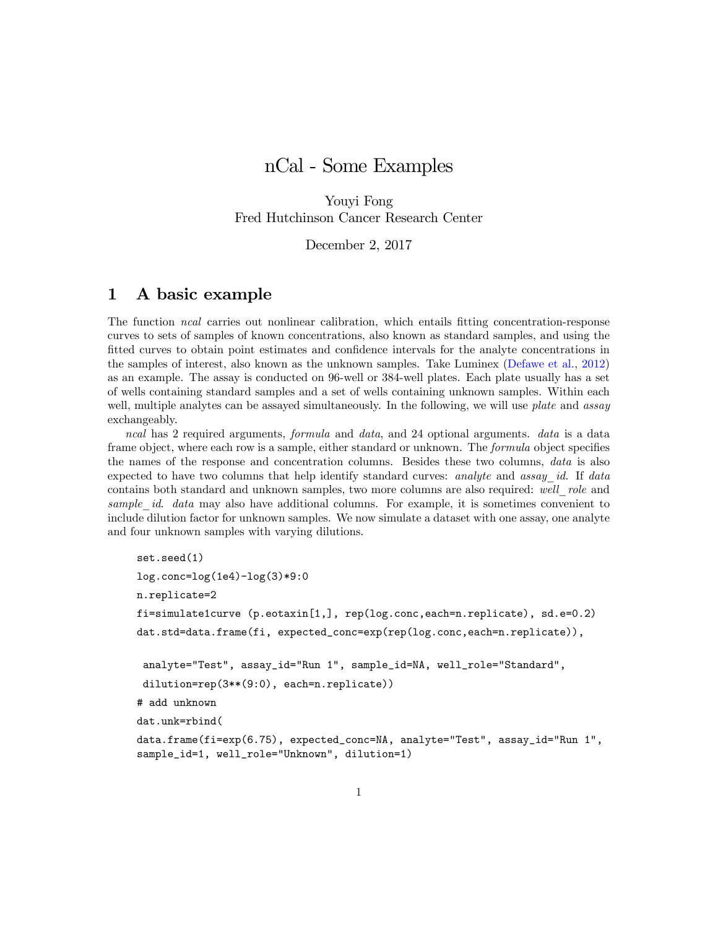# nCal - Some Examples

Youyi Fong Fred Hutchinson Cancer Research Center

December 2, 2017

# 1 A basic example

The function *ncal* carries out nonlinear calibration, which entails fitting concentration-response curves to sets of samples of known concentrations, also known as standard samples, and using the fitted curves to obtain point estimates and confidence intervals for the analyte concentrations in the samples of interest, also known as the unknown samples. Take Luminex [\(Defawe et al.,](#page-5-0) [2012\)](#page-5-0) as an example. The assay is conducted on 96-well or 384-well plates. Each plate usually has a set of wells containing standard samples and a set of wells containing unknown samples. Within each well, multiple analytes can be assayed simultaneously. In the following, we will use *plate* and *assay* exchangeably.

ncal has 2 required arguments, formula and data, and 24 optional arguments. data is a data frame object, where each row is a sample, either standard or unknown. The *formula* object specifies the names of the response and concentration columns. Besides these two columns, data is also expected to have two columns that help identify standard curves: analyte and assay  $id$ . If data contains both standard and unknown samples, two more columns are also required: well role and sample id. data may also have additional columns. For example, it is sometimes convenient to include dilution factor for unknown samples. We now simulate a dataset with one assay, one analyte and four unknown samples with varying dilutions.

```
set.seed(1)
log.conc=log(1e4)-log(3)*9:0
n.replicate=2
fi=simulate1curve (p.eotaxin[1,], rep(log.conc,each=n.replicate), sd.e=0.2)
dat.std=data.frame(fi, expected_conc=exp(rep(log.conc,each=n.replicate)),
 analyte="Test", assay_id="Run 1", sample_id=NA, well_role="Standard",
 dilution=rep(3**(9:0), each=n.replicate))
# add unknown
dat.unk=rbind(
data.frame(fi=exp(6.75), expected_conc=NA, analyte="Test", assay_id="Run 1",
sample_id=1, well_role="Unknown", dilution=1)
```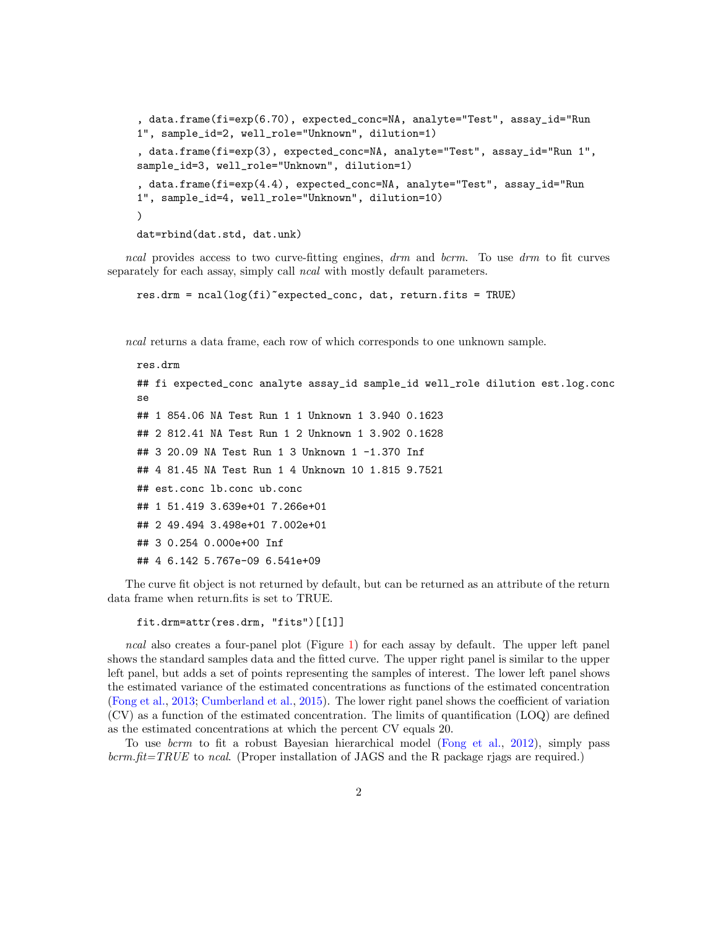```
, data.frame(fi=exp(6.70), expected_conc=NA, analyte="Test", assay_id="Run
1", sample_id=2, well_role="Unknown", dilution=1)
, data.frame(fi=exp(3), expected_conc=NA, analyte="Test", assay_id="Run 1",
sample_id=3, well_role="Unknown", dilution=1)
, data.frame(fi=exp(4.4), expected_conc=NA, analyte="Test", assay_id="Run
1", sample_id=4, well_role="Unknown", dilution=10)
)
dat=rbind(dat.std, dat.unk)
```
ncal provides access to two curve-fitting engines, drm and bcrm. To use drm to fit curves separately for each assay, simply call *ncal* with mostly default parameters.

res.drm = ncal(log(fi)~expected\_conc, dat, return.fits = TRUE)

ncal returns a data frame, each row of which corresponds to one unknown sample.

```
res.drm
## fi expected_conc analyte assay_id sample_id well_role dilution est.log.conc
se
## 1 854.06 NA Test Run 1 1 Unknown 1 3.940 0.1623
## 2 812.41 NA Test Run 1 2 Unknown 1 3.902 0.1628
## 3 20.09 NA Test Run 1 3 Unknown 1 -1.370 Inf
## 4 81.45 NA Test Run 1 4 Unknown 10 1.815 9.7521
## est.conc lb.conc ub.conc
## 1 51.419 3.639e+01 7.266e+01
## 2 49.494 3.498e+01 7.002e+01
## 3 0.254 0.000e+00 Inf
## 4 6.142 5.767e-09 6.541e+09
```
The curve fit object is not returned by default, but can be returned as an attribute of the return data frame when return.fits is set to TRUE.

fit.drm=attr(res.drm, "fits")[[1]]

ncal also creates a four-panel plot (Figure [1\)](#page-2-0) for each assay by default. The upper left panel shows the standard samples data and the Ötted curve. The upper right panel is similar to the upper left panel, but adds a set of points representing the samples of interest. The lower left panel shows the estimated variance of the estimated concentrations as functions of the estimated concentration [\(Fong et al.,](#page-5-1) [2013;](#page-5-1) [Cumberland et al.,](#page-5-2) [2015\)](#page-5-2). The lower right panel shows the coefficient of variation (CV) as a function of the estimated concentration. The limits of quantification (LOQ) are defined as the estimated concentrations at which the percent CV equals 20.

To use *bcrm* to fit a robust Bayesian hierarchical model [\(Fong et al.,](#page-5-3) [2012\)](#page-5-3), simply pass  $bcm. fit = TRUE$  to ncal. (Proper installation of JAGS and the R package rjags are required.)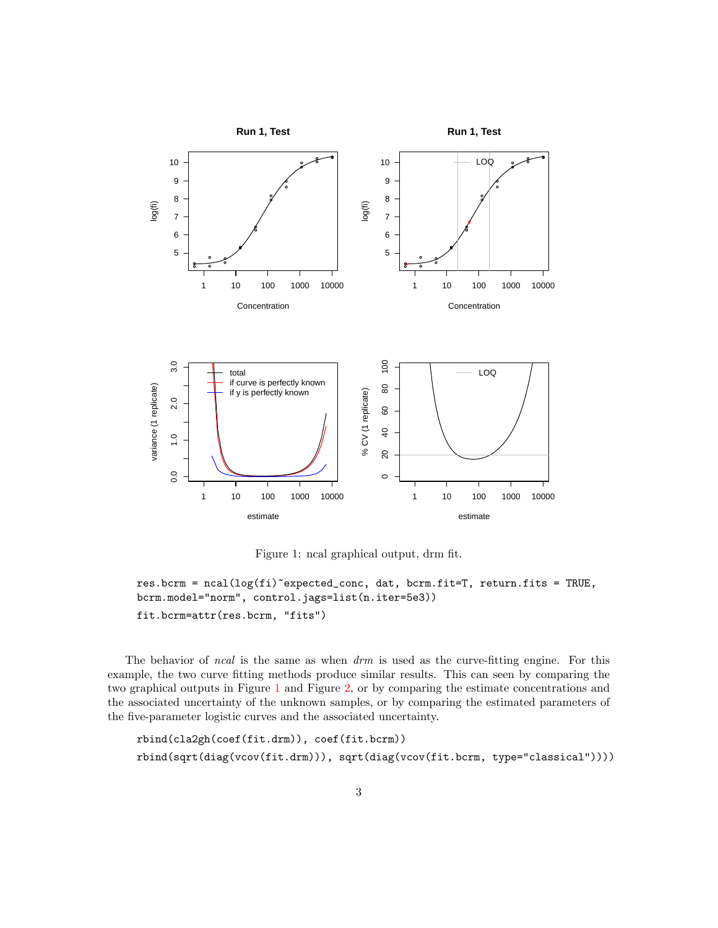

<span id="page-2-0"></span>Figure 1: ncal graphical output, drm fit.

```
res.bcrm = ncal(log(fi)~expected_conc, dat, bcrm.fit=T, return.fits = TRUE,
bcrm.model="norm", control.jags=list(n.iter=5e3))
fit.bcrm=attr(res.bcrm, "fits")
```
The behavior of *ncal* is the same as when  $drm$  is used as the curve-fitting engine. For this example, the two curve fitting methods produce similar results. This can seen by comparing the two graphical outputs in Figure [1](#page-2-0) and Figure [2,](#page-3-0) or by comparing the estimate concentrations and the associated uncertainty of the unknown samples, or by comparing the estimated parameters of the Öve-parameter logistic curves and the associated uncertainty.

```
rbind(cla2gh(coef(fit.drm)), coef(fit.bcrm))
rbind(sqrt(diag(vcov(fit.drm))), sqrt(diag(vcov(fit.bcrm, type="classical"))))
```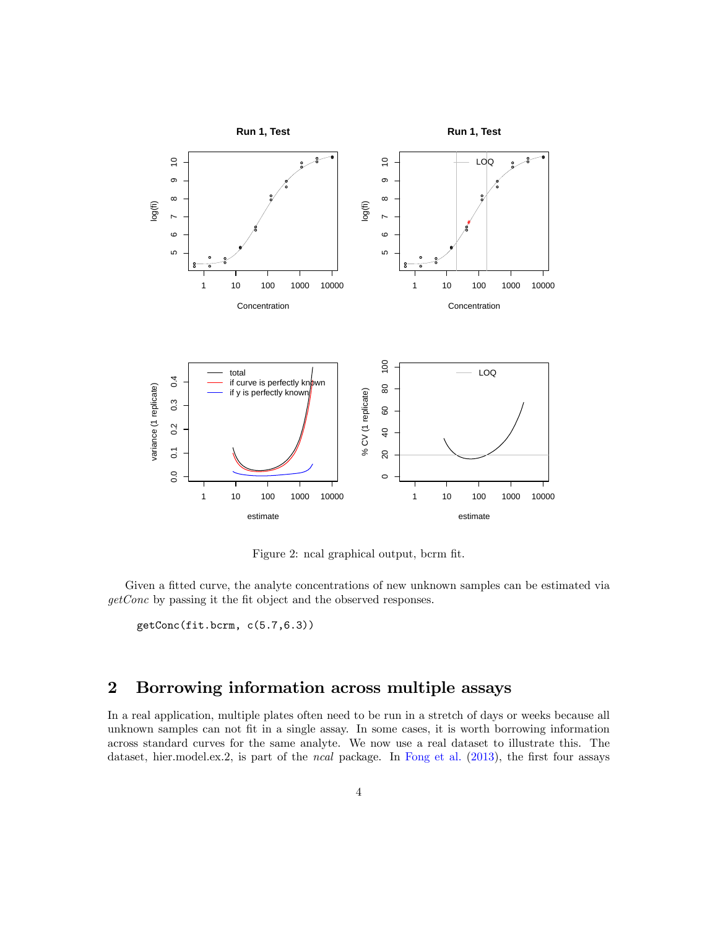

<span id="page-3-0"></span>Figure 2: ncal graphical output, bcrm fit.

Given a fitted curve, the analyte concentrations of new unknown samples can be estimated via  $getConc$  by passing it the fit object and the observed responses.

getConc(fit.bcrm, c(5.7,6.3))

## 2 Borrowing information across multiple assays

In a real application, multiple plates often need to be run in a stretch of days or weeks because all unknown samples can not fit in a single assay. In some cases, it is worth borrowing information across standard curves for the same analyte. We now use a real dataset to illustrate this. The dataset, hier.model.ex.2, is part of the *ncal* package. In [Fong et al.](#page-5-1) [\(2013\)](#page-5-1), the first four assays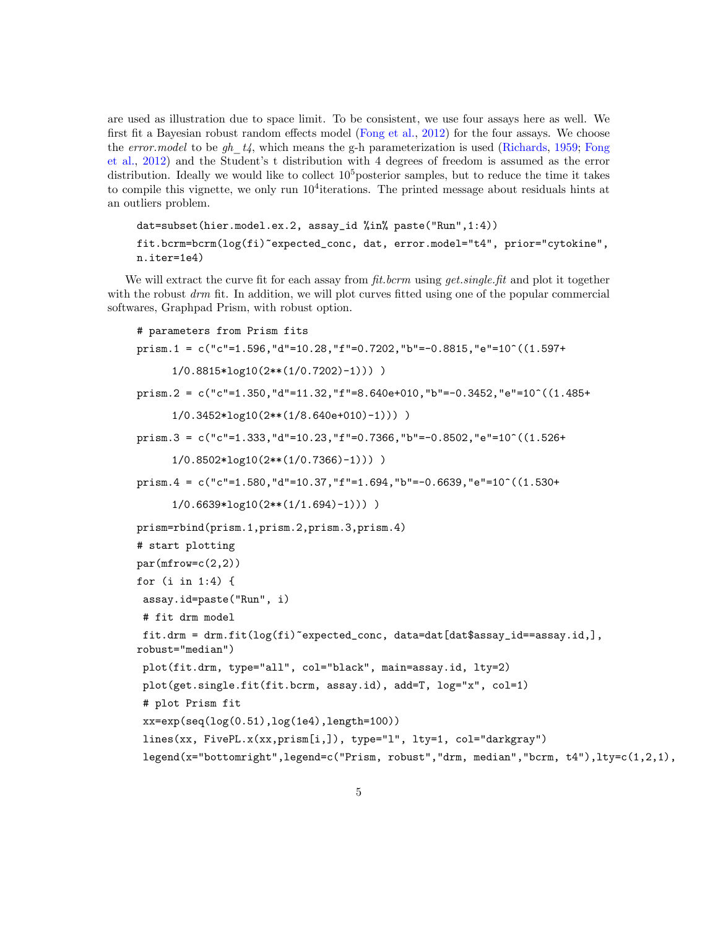are used as illustration due to space limit. To be consistent, we use four assays here as well. We first fit a Bayesian robust random effects model [\(Fong et al.,](#page-5-3)  $2012$ ) for the four assays. We choose the error.model to be gh  $t_4$ , which means the g-h parameterization is used [\(Richards,](#page-5-4) [1959;](#page-5-4) [Fong](#page-5-3) [et al.,](#page-5-3) [2012\)](#page-5-3) and the Student's t distribution with 4 degrees of freedom is assumed as the error distribution. Ideally we would like to collect  $10<sup>5</sup>$  posterior samples, but to reduce the time it takes to compile this vignette, we only run  $10^4$  iterations. The printed message about residuals hints at an outliers problem.

```
dat=subset(hier.model.ex.2, assay_id %in% paste("Run",1:4))
fit.bcrm=bcrm(log(fi)~expected_conc, dat, error.model="t4", prior="cytokine",
n.iter=1e4)
```
We will extract the curve fit for each assay from  $\hat{t}t$ , becausing get. single.  $\hat{t}t$  and plot it together with the robust  $d\mathbf{r}$  fit. In addition, we will plot curves fitted using one of the popular commercial softwares, Graphpad Prism, with robust option.

```
# parameters from Prism fits
prism.1 = c("c"=1.596,"d"=10.28,"f"=0.7202,"b"=-0.8815,"e"=10^((1.597+
      1/0.8815*log10(2**(1/0.7202)-1))) )
prism.2 = c("c" = 1.350, "d" = 11.32, "f" = 8.640e+010, "b" = -0.3452, "e" = 10^(1.485+)1/0.3452*log10(2**(1/8.640e+010)-1))) )
prism.3 = c("c" = 1.333," d" = 10.23," f" = 0.7366," b" = -0.8502," e" = 10^(1.526+1/0.8502*log10(2**(1/0.7366)-1))) )
prism.4 = c("c" = 1.580, "d" = 10.37, "f" = 1.694, "b" = -0.6639, "e" = 10^((1.530+1/0.6639*log10(2**(1/1.694)-1))) )
prism=rbind(prism.1,prism.2,prism.3,prism.4)
# start plotting
par(mfrow=c(2,2))for (i in 1:4) {
 assay.id=paste("Run", i)
 # fit drm model
 fit.drm = drm.fit(log(fi)~expected_conc, data=dat[dat$assay_id==assay.id,],
robust="median")
 plot(fit.drm, type="all", col="black", main=assay.id, lty=2)
 plot(get.single.fit(fit.bcrm, assay.id), add=T, log="x", col=1)
 # plot Prism fit
 xx=exp(seq(log(0.51),log(1e4),length=100))
 lines(xx, FivePL.x(xx,prism[i,]), type="l", lty=1, col="darkgray")
 legend(x="bottomright",legend=c("Prism, robust","drm, median","bcrm, t4"),lty=c(1,2,1),
```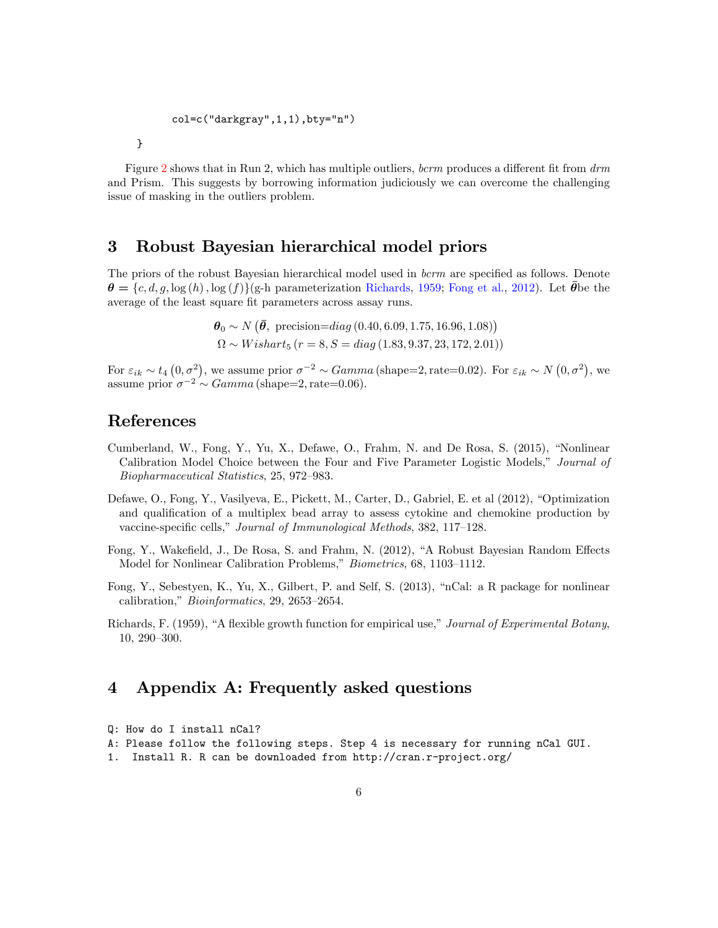```
col=c("darkgray",1,1),bty="n")
```
Figure [2](#page-3-0) shows that in Run 2, which has multiple outliers, bcrm produces a different fit from  $\dim$ and Prism. This suggests by borrowing information judiciously we can overcome the challenging issue of masking in the outliers problem.

#### 3 Robust Bayesian hierarchical model priors

The priors of the robust Bayesian hierarchical model used in  $bcrm$  are specified as follows. Denote  $\theta = \{c, d, g, \log(h), \log(f)\}\$ g-h parameterization [Richards,](#page-5-4) [1959;](#page-5-4) [Fong et al.,](#page-5-3) [2012\)](#page-5-3). Let  $\bar{\theta}$ be the average of the least square fit parameters across assay runs.

> $\theta_0 \sim N(\bar{\theta}, \text{ precision}=diag(0.40, 6.09, 1.75, 16.96, 1.08))$  $\Omega \sim Wishart_5$   $(r = 8, S = diag(1.83, 9.37, 23, 172, 2.01))$

For  $\varepsilon_{ik} \sim t_4$   $(0, \sigma^2)$ , we assume prior  $\sigma^{-2} \sim Gamma$  (shape=2, rate=0.02). For  $\varepsilon_{ik} \sim N(0, \sigma^2)$ , we assume prior  $\sigma^{-2} \sim Gamma$  (shape=2, rate=0.06).

### References

}

- <span id="page-5-2"></span>Cumberland, W., Fong, Y., Yu, X., Defawe, O., Frahm, N. and De Rosa, S.  $(2015)$ , "Nonlinear Calibration Model Choice between the Four and Five Parameter Logistic Models," Journal of Biopharmaceutical Statistics, 25, 972-983.
- <span id="page-5-0"></span>Defawe, O., Fong, Y., Vasilyeva, E., Pickett, M., Carter, D., Gabriel, E. et al (2012), "Optimization and qualification of a multiplex bead array to assess cytokine and chemokine production by vaccine-specific cells," Journal of Immunological Methods, 382, 117-128.
- <span id="page-5-3"></span>Fong, Y., Wakefield, J., De Rosa, S. and Frahm, N. (2012), "A Robust Bayesian Random Effects Model for Nonlinear Calibration Problems," Biometrics, 68, 1103-1112.
- <span id="page-5-1"></span>Fong, Y., Sebestyen, K., Yu, X., Gilbert, P. and Self, S. (2013), "nCal: a R package for nonlinear calibration," Bioinformatics, 29, 2653–2654.
- <span id="page-5-4"></span>Richards, F. (1959), "A flexible growth function for empirical use," Journal of Experimental Botany, 10, 290-300.

### 4 Appendix A: Frequently asked questions

```
Q: How do I install nCal?
A: Please follow the following steps. Step 4 is necessary for running nCal GUI.
1. Install R. R can be downloaded from http://cran.r-project.org/
```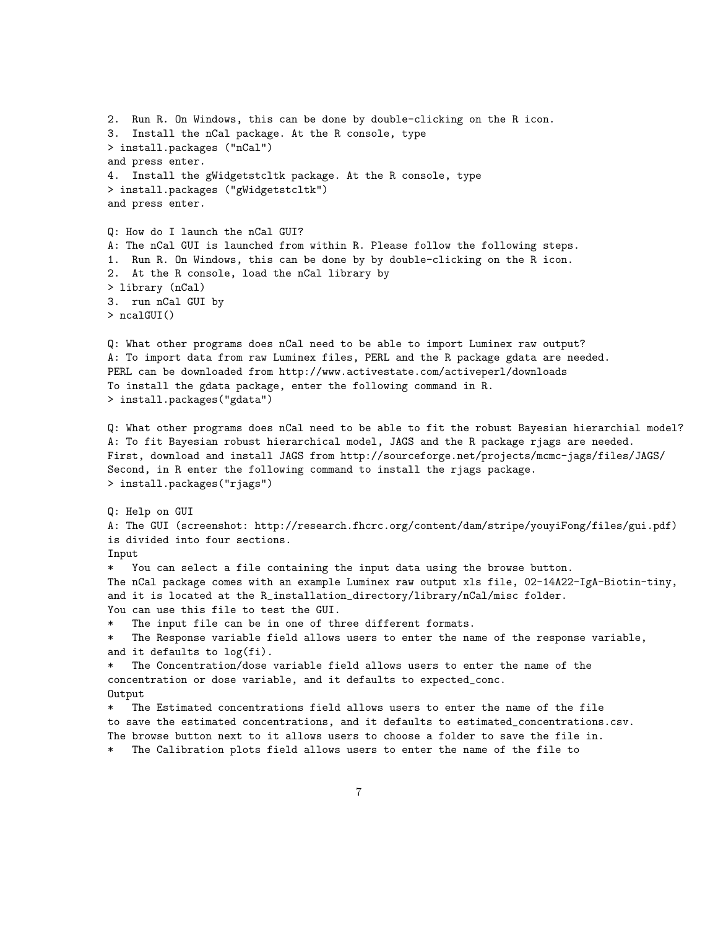```
2. Run R. On Windows, this can be done by double-clicking on the R icon.
3. Install the nCal package. At the R console, type
> install.packages ("nCal")
and press enter.
4. Install the gWidgetstcltk package. At the R console, type
> install.packages ("gWidgetstcltk")
and press enter.
Q: How do I launch the nCal GUI?
A: The nCal GUI is launched from within R. Please follow the following steps.
1. Run R. On Windows, this can be done by by double-clicking on the R icon.
2. At the R console, load the nCal library by
> library (nCal)
3. run nCal GUI by
> ncalGUI()
Q: What other programs does nCal need to be able to import Luminex raw output?
A: To import data from raw Luminex files, PERL and the R package gdata are needed.
PERL can be downloaded from http://www.activestate.com/activeperl/downloads
To install the gdata package, enter the following command in R.
> install.packages("gdata")
Q: What other programs does nCal need to be able to fit the robust Bayesian hierarchial model?
A: To fit Bayesian robust hierarchical model, JAGS and the R package rjags are needed.
First, download and install JAGS from http://sourceforge.net/projects/mcmc-jags/files/JAGS/
Second, in R enter the following command to install the rjags package.
> install.packages("rjags")
Q: Help on GUI
A: The GUI (screenshot: http://research.fhcrc.org/content/dam/stripe/youyiFong/files/gui.pdf)
is divided into four sections.
Input
   You can select a file containing the input data using the browse button.
The nCal package comes with an example Luminex raw output xls file, 02-14A22-IgA-Biotin-tiny,
and it is located at the R_installation_directory/library/nCal/misc folder.
You can use this file to test the GUI.
    The input file can be in one of three different formats.
   The Response variable field allows users to enter the name of the response variable,
and it defaults to log(fi).
* The Concentration/dose variable field allows users to enter the name of the
concentration or dose variable, and it defaults to expected_conc.
Output
* The Estimated concentrations field allows users to enter the name of the file
to save the estimated concentrations, and it defaults to estimated_concentrations.csv.
The browse button next to it allows users to choose a folder to save the file in.
* The Calibration plots field allows users to enter the name of the file to
```